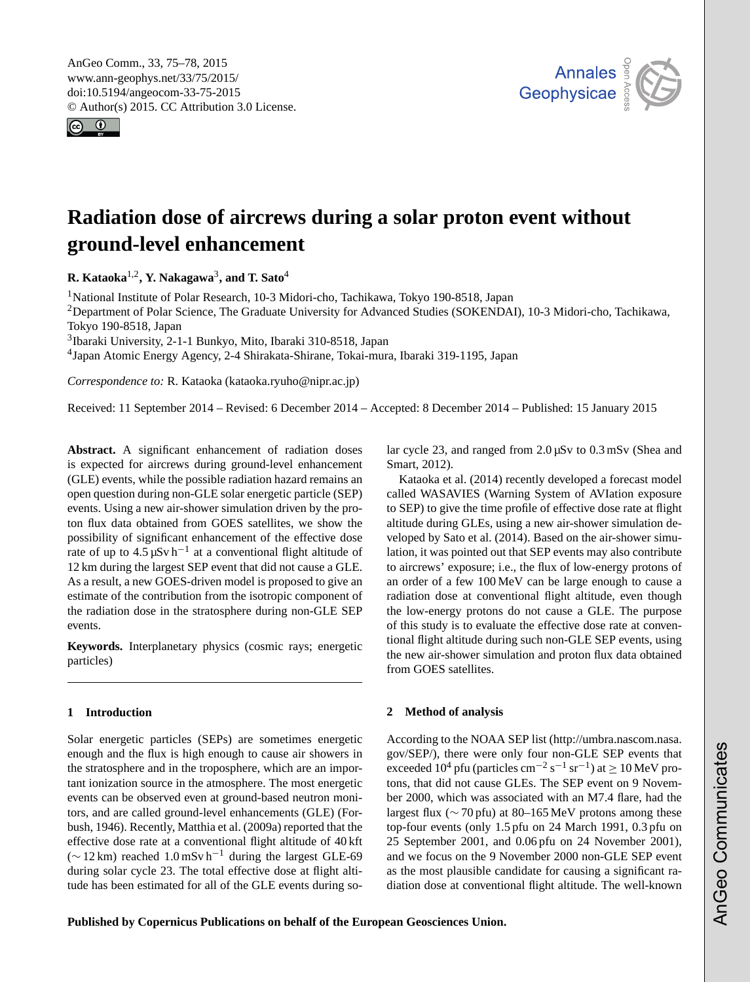<span id="page-0-1"></span>AnGeo Comm., 33, 75–78, 2015 www.ann-geophys.net/33/75/2015/ doi:10.5194/angeocom-33-75-2015 © Author(s) 2015. CC Attribution 3.0 License.





# **Radiation dose of aircrews during a solar proton event without ground-level enhancement**

**R. Kataoka**[1,2](#page-0-0) **, Y. Nakagawa**[3](#page-0-0) **, and T. Sato**[4](#page-0-0)

<sup>1</sup>National Institute of Polar Research, 10-3 Midori-cho, Tachikawa, Tokyo 190-8518, Japan

<sup>2</sup>Department of Polar Science, The Graduate University for Advanced Studies (SOKENDAI), 10-3 Midori-cho, Tachikawa, Tokyo 190-8518, Japan

3 Ibaraki University, 2-1-1 Bunkyo, Mito, Ibaraki 310-8518, Japan

4 Japan Atomic Energy Agency, 2-4 Shirakata-Shirane, Tokai-mura, Ibaraki 319-1195, Japan

*Correspondence to:* R. Kataoka (kataoka.ryuho@nipr.ac.jp)

Received: 11 September 2014 – Revised: 6 December 2014 – Accepted: 8 December 2014 – Published: 15 January 2015

<span id="page-0-0"></span>**Abstract.** A significant enhancement of radiation doses is expected for aircrews during ground-level enhancement (GLE) events, while the possible radiation hazard remains an open question during non-GLE solar energetic particle (SEP) events. Using a new air-shower simulation driven by the proton flux data obtained from GOES satellites, we show the possibility of significant enhancement of the effective dose rate of up to  $4.5 \mu Sv \, h^{-1}$  at a conventional flight altitude of 12 km during the largest SEP event that did not cause a GLE. As a result, a new GOES-driven model is proposed to give an estimate of the contribution from the isotropic component of the radiation dose in the stratosphere during non-GLE SEP events.

**Keywords.** Interplanetary physics (cosmic rays; energetic particles)

## **1 Introduction**

Solar energetic particles (SEPs) are sometimes energetic enough and the flux is high enough to cause air showers in the stratosphere and in the troposphere, which are an important ionization source in the atmosphere. The most energetic events can be observed even at ground-based neutron monitors, and are called ground-level enhancements (GLE) (Forbush, 1946). Recently, Matthia et al. (2009a) reported that the effective dose rate at a conventional flight altitude of 40 kft ( $∼ 12$  km) reached 1.0 mSv h<sup>-1</sup> during the largest GLE-69 during solar cycle 23. The total effective dose at flight altitude has been estimated for all of the GLE events during solar cycle 23, and ranged from 2.0 µSv to 0.3 mSv (Shea and Smart, 2012).

Kataoka et al. (2014) recently developed a forecast model called WASAVIES (Warning System of AVIation exposure to SEP) to give the time profile of effective dose rate at flight altitude during GLEs, using a new air-shower simulation developed by Sato et al. (2014). Based on the air-shower simulation, it was pointed out that SEP events may also contribute to aircrews' exposure; i.e., the flux of low-energy protons of an order of a few 100 MeV can be large enough to cause a radiation dose at conventional flight altitude, even though the low-energy protons do not cause a GLE. The purpose of this study is to evaluate the effective dose rate at conventional flight altitude during such non-GLE SEP events, using the new air-shower simulation and proton flux data obtained from GOES satellites.

## **2 Method of analysis**

According to the NOAA SEP list [\(http://umbra.nascom.nasa.](http://umbra.nascom.nasa.gov/SEP/) [gov/SEP/\)](http://umbra.nascom.nasa.gov/SEP/), there were only four non-GLE SEP events that exceeded 10<sup>4</sup> pfu (particles cm<sup>-2</sup> s<sup>-1</sup> sr<sup>-1</sup>) at ≥ 10 MeV protons, that did not cause GLEs. The SEP event on 9 November 2000, which was associated with an M7.4 flare, had the largest flux (∼ 70 pfu) at 80–165 MeV protons among these top-four events (only 1.5 pfu on 24 March 1991, 0.3 pfu on 25 September 2001, and 0.06 pfu on 24 November 2001), and we focus on the 9 November 2000 non-GLE SEP event as the most plausible candidate for causing a significant radiation dose at conventional flight altitude. The well-known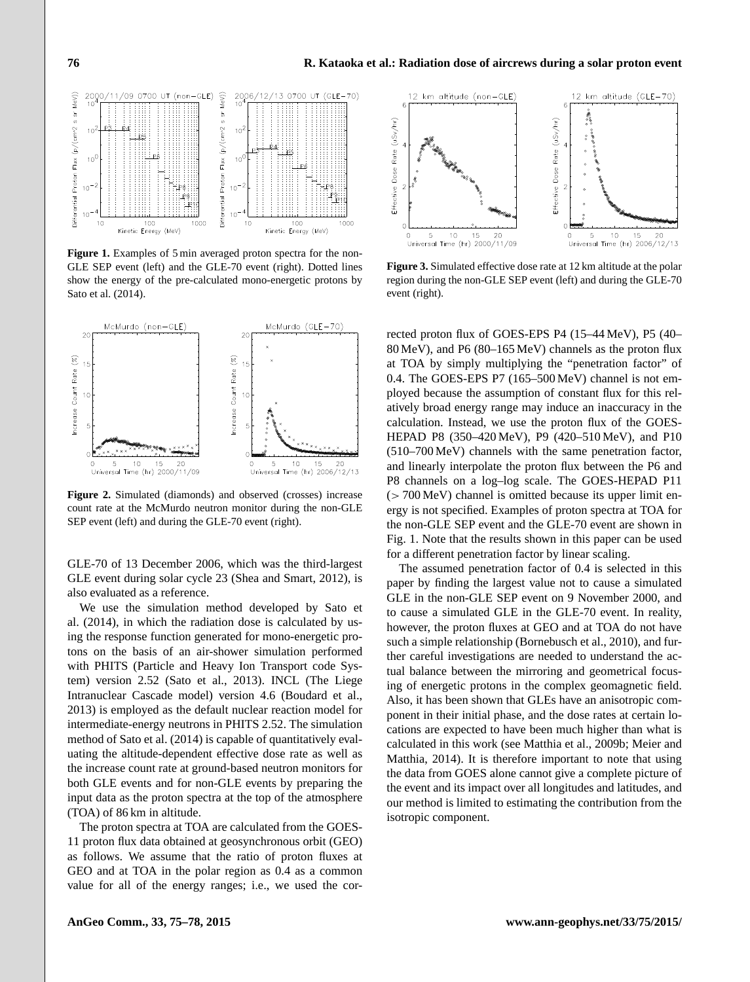

**Figure 1.** Examples of 5 min averaged proton spectra for the non-GLE SEP event (left) and the GLE-70 event (right). Dotted lines show the energy of the pre-calculated mono-energetic protons by Sato et al. (2014).



**Figure 2.** Simulated (diamonds) and observed (crosses) increase count rate at the McMurdo neutron monitor during the non-GLE SEP event (left) and during the GLE-70 event (right).

GLE-70 of 13 December 2006, which was the third-largest GLE event during solar cycle 23 (Shea and Smart, 2012), is also evaluated as a reference.

We use the simulation method developed by Sato et al. (2014), in which the radiation dose is calculated by using the response function generated for mono-energetic protons on the basis of an air-shower simulation performed with PHITS (Particle and Heavy Ion Transport code System) version 2.52 (Sato et al., 2013). INCL (The Liege Intranuclear Cascade model) version 4.6 (Boudard et al., 2013) is employed as the default nuclear reaction model for intermediate-energy neutrons in PHITS 2.52. The simulation method of Sato et al. (2014) is capable of quantitatively evaluating the altitude-dependent effective dose rate as well as the increase count rate at ground-based neutron monitors for both GLE events and for non-GLE events by preparing the input data as the proton spectra at the top of the atmosphere (TOA) of 86 km in altitude.

The proton spectra at TOA are calculated from the GOES-11 proton flux data obtained at geosynchronous orbit (GEO) as follows. We assume that the ratio of proton fluxes at GEO and at TOA in the polar region as 0.4 as a common value for all of the energy ranges; i.e., we used the cor-



**Figure 3.** Simulated effective dose rate at 12 km altitude at the polar region during the non-GLE SEP event (left) and during the GLE-70 event (right).

rected proton flux of GOES-EPS P4 (15–44 MeV), P5 (40– 80 MeV), and P6 (80–165 MeV) channels as the proton flux at TOA by simply multiplying the "penetration factor" of 0.4. The GOES-EPS P7 (165–500 MeV) channel is not employed because the assumption of constant flux for this relatively broad energy range may induce an inaccuracy in the calculation. Instead, we use the proton flux of the GOES-HEPAD P8 (350–420 MeV), P9 (420–510 MeV), and P10 (510–700 MeV) channels with the same penetration factor, and linearly interpolate the proton flux between the P6 and P8 channels on a log–log scale. The GOES-HEPAD P11  $(> 700 \,\text{MeV})$  channel is omitted because its upper limit energy is not specified. Examples of proton spectra at TOA for the non-GLE SEP event and the GLE-70 event are shown in Fig. 1. Note that the results shown in this paper can be used for a different penetration factor by linear scaling.

The assumed penetration factor of 0.4 is selected in this paper by finding the largest value not to cause a simulated GLE in the non-GLE SEP event on 9 November 2000, and to cause a simulated GLE in the GLE-70 event. In reality, however, the proton fluxes at GEO and at TOA do not have such a simple relationship (Bornebusch et al., 2010), and further careful investigations are needed to understand the actual balance between the mirroring and geometrical focusing of energetic protons in the complex geomagnetic field. Also, it has been shown that GLEs have an anisotropic component in their initial phase, and the dose rates at certain locations are expected to have been much higher than what is calculated in this work (see Matthia et al., 2009b; Meier and Matthia, 2014). It is therefore important to note that using the data from GOES alone cannot give a complete picture of the event and its impact over all longitudes and latitudes, and our method is limited to estimating the contribution from the isotropic component.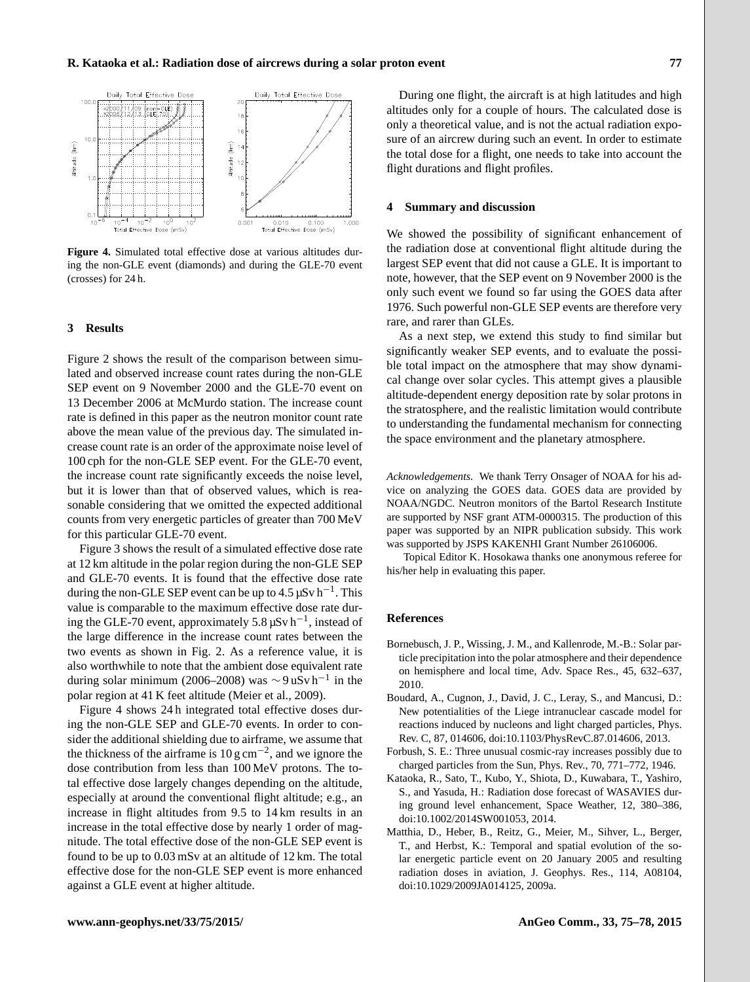

**Figure 4.** Simulated total effective dose at various altitudes during the non-GLE event (diamonds) and during the GLE-70 event (crosses) for 24 h.

## **3 Results**

Figure 2 shows the result of the comparison between simulated and observed increase count rates during the non-GLE SEP event on 9 November 2000 and the GLE-70 event on 13 December 2006 at McMurdo station. The increase count rate is defined in this paper as the neutron monitor count rate above the mean value of the previous day. The simulated increase count rate is an order of the approximate noise level of 100 cph for the non-GLE SEP event. For the GLE-70 event, the increase count rate significantly exceeds the noise level, but it is lower than that of observed values, which is reasonable considering that we omitted the expected additional counts from very energetic particles of greater than 700 MeV for this particular GLE-70 event.

Figure 3 shows the result of a simulated effective dose rate at 12 km altitude in the polar region during the non-GLE SEP and GLE-70 events. It is found that the effective dose rate during the non-GLE SEP event can be up to  $4.5 \mu Sv h^{-1}$ . This value is comparable to the maximum effective dose rate during the GLE-70 event, approximately 5.8  $\mu$ Sv h<sup>-1</sup>, instead of the large difference in the increase count rates between the two events as shown in Fig. 2. As a reference value, it is also worthwhile to note that the ambient dose equivalent rate during solar minimum (2006–2008) was  $\sim$  9 uSv h<sup>-1</sup> in the polar region at 41 K feet altitude (Meier et al., 2009).

Figure 4 shows 24 h integrated total effective doses during the non-GLE SEP and GLE-70 events. In order to consider the additional shielding due to airframe, we assume that the thickness of the airframe is  $10 \text{ g cm}^{-2}$ , and we ignore the dose contribution from less than 100 MeV protons. The total effective dose largely changes depending on the altitude, especially at around the conventional flight altitude; e.g., an increase in flight altitudes from 9.5 to 14 km results in an increase in the total effective dose by nearly 1 order of magnitude. The total effective dose of the non-GLE SEP event is found to be up to 0.03 mSv at an altitude of 12 km. The total effective dose for the non-GLE SEP event is more enhanced against a GLE event at higher altitude.

During one flight, the aircraft is at high latitudes and high altitudes only for a couple of hours. The calculated dose is only a theoretical value, and is not the actual radiation exposure of an aircrew during such an event. In order to estimate the total dose for a flight, one needs to take into account the flight durations and flight profiles.

#### **4 Summary and discussion**

We showed the possibility of significant enhancement of the radiation dose at conventional flight altitude during the largest SEP event that did not cause a GLE. It is important to note, however, that the SEP event on 9 November 2000 is the only such event we found so far using the GOES data after 1976. Such powerful non-GLE SEP events are therefore very rare, and rarer than GLEs.

As a next step, we extend this study to find similar but significantly weaker SEP events, and to evaluate the possible total impact on the atmosphere that may show dynamical change over solar cycles. This attempt gives a plausible altitude-dependent energy deposition rate by solar protons in the stratosphere, and the realistic limitation would contribute to understanding the fundamental mechanism for connecting the space environment and the planetary atmosphere.

*Acknowledgements.* We thank Terry Onsager of NOAA for his advice on analyzing the GOES data. GOES data are provided by NOAA/NGDC. Neutron monitors of the Bartol Research Institute are supported by NSF grant ATM-0000315. The production of this paper was supported by an NIPR publication subsidy. This work was supported by JSPS KAKENHI Grant Number 26106006.

Topical Editor K. Hosokawa thanks one anonymous referee for his/her help in evaluating this paper.

#### **References**

- Bornebusch, J. P., Wissing, J. M., and Kallenrode, M.-B.: Solar particle precipitation into the polar atmosphere and their dependence on hemisphere and local time, Adv. Space Res., 45, 632–637, 2010.
- Boudard, A., Cugnon, J., David, J. C., Leray, S., and Mancusi, D.: New potentialities of the Liege intranuclear cascade model for reactions induced by nucleons and light charged particles, Phys. Rev. C, 87, 014606, doi[:10.1103/PhysRevC.87.014606,](http://dx.doi.org/10.1103/PhysRevC.87.014606) 2013.
- Forbush, S. E.: Three unusual cosmic-ray increases possibly due to charged particles from the Sun, Phys. Rev., 70, 771–772, 1946.
- Kataoka, R., Sato, T., Kubo, Y., Shiota, D., Kuwabara, T., Yashiro, S., and Yasuda, H.: Radiation dose forecast of WASAVIES during ground level enhancement, Space Weather, 12, 380–386, doi[:10.1002/2014SW001053,](http://dx.doi.org/10.1002/2014SW001053) 2014.
- Matthia, D., Heber, B., Reitz, G., Meier, M., Sihver, L., Berger, T., and Herbst, K.: Temporal and spatial evolution of the solar energetic particle event on 20 January 2005 and resulting radiation doses in aviation, J. Geophys. Res., 114, A08104, doi[:10.1029/2009JA014125,](http://dx.doi.org/10.1029/2009JA014125) 2009a.